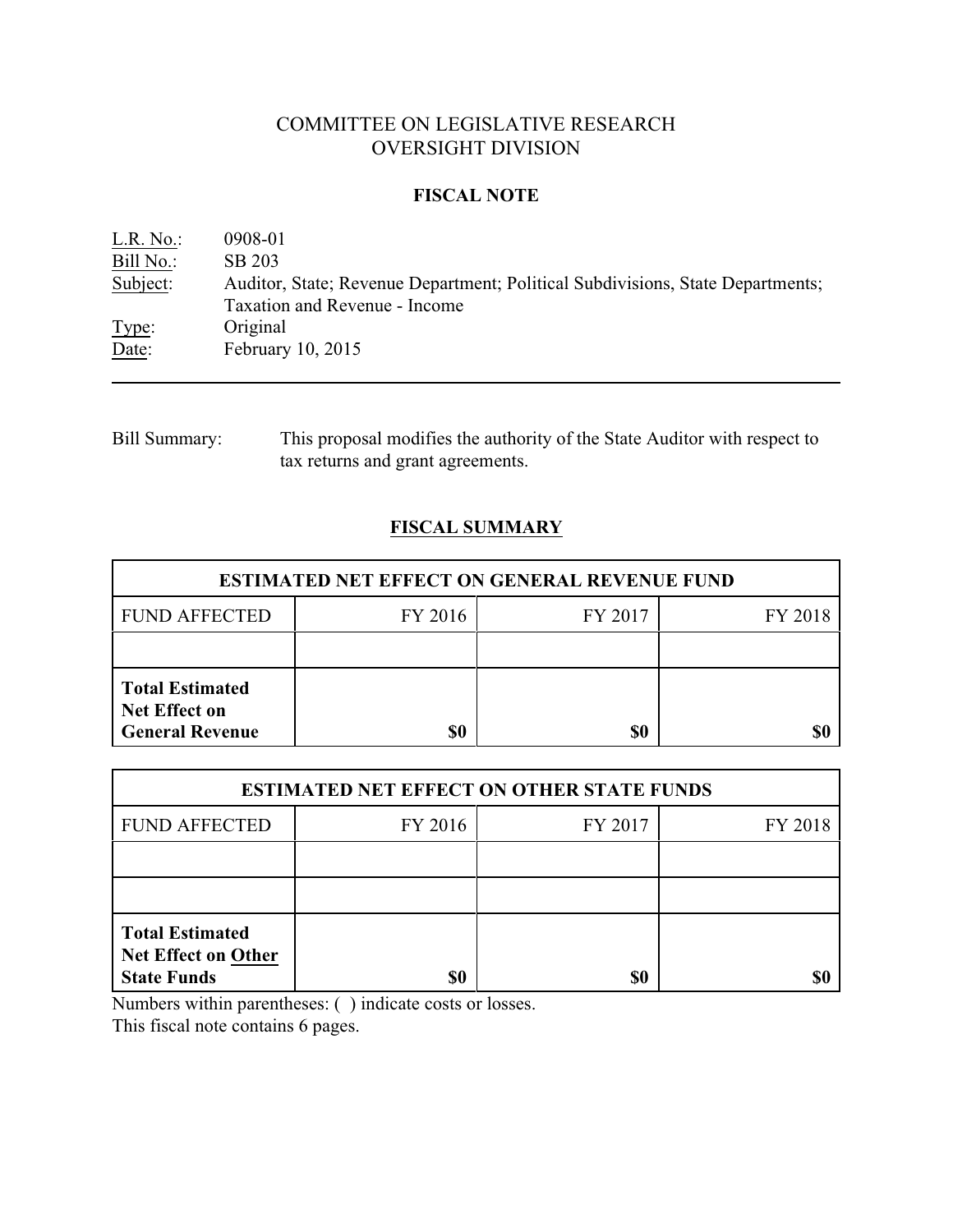# COMMITTEE ON LEGISLATIVE RESEARCH OVERSIGHT DIVISION

#### **FISCAL NOTE**

| L.R. No.: | 0908-01                                                                                                         |
|-----------|-----------------------------------------------------------------------------------------------------------------|
| Bill No.: | SB 203                                                                                                          |
| Subject:  | Auditor, State; Revenue Department; Political Subdivisions, State Departments;<br>Taxation and Revenue - Income |
| Type:     | Original                                                                                                        |
| Date:     | February 10, 2015                                                                                               |

## Bill Summary: This proposal modifies the authority of the State Auditor with respect to tax returns and grant agreements.

## **FISCAL SUMMARY**

| <b>ESTIMATED NET EFFECT ON GENERAL REVENUE FUND</b>                      |         |         |         |  |
|--------------------------------------------------------------------------|---------|---------|---------|--|
| <b>FUND AFFECTED</b>                                                     | FY 2016 | FY 2017 | FY 2018 |  |
|                                                                          |         |         |         |  |
| <b>Total Estimated</b><br><b>Net Effect on</b><br><b>General Revenue</b> | \$0     | \$0     |         |  |

| <b>ESTIMATED NET EFFECT ON OTHER STATE FUNDS</b>                           |         |         |         |  |
|----------------------------------------------------------------------------|---------|---------|---------|--|
| <b>FUND AFFECTED</b>                                                       | FY 2016 | FY 2017 | FY 2018 |  |
|                                                                            |         |         |         |  |
|                                                                            |         |         |         |  |
| <b>Total Estimated</b><br><b>Net Effect on Other</b><br><b>State Funds</b> | \$0     | \$0     |         |  |

Numbers within parentheses: ( ) indicate costs or losses.

This fiscal note contains 6 pages.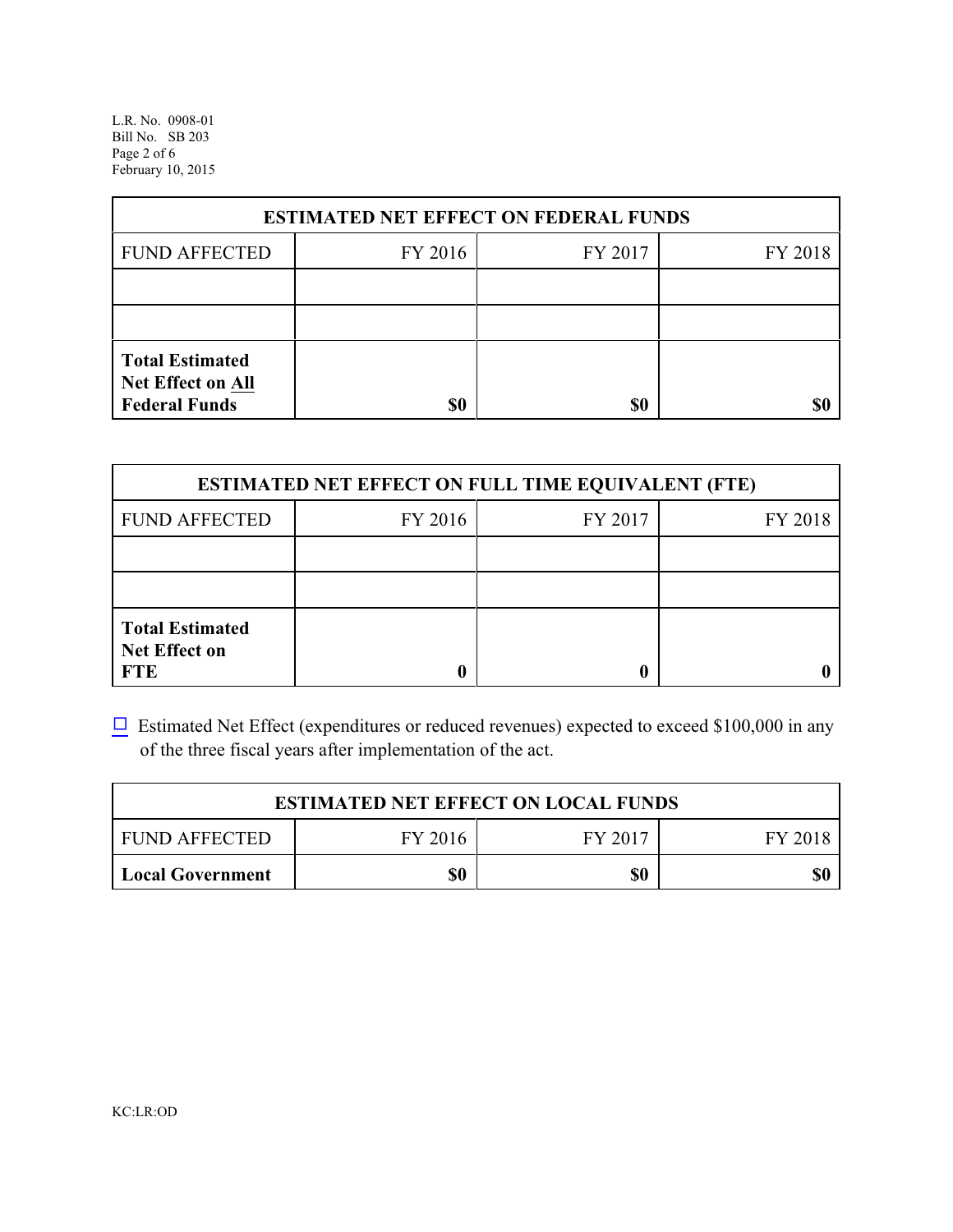L.R. No. 0908-01 Bill No. SB 203 Page 2 of 6 February 10, 2015

| <b>ESTIMATED NET EFFECT ON FEDERAL FUNDS</b>                        |         |         |         |  |
|---------------------------------------------------------------------|---------|---------|---------|--|
| <b>FUND AFFECTED</b>                                                | FY 2016 | FY 2017 | FY 2018 |  |
|                                                                     |         |         |         |  |
|                                                                     |         |         |         |  |
| <b>Total Estimated</b><br>Net Effect on All<br><b>Federal Funds</b> | \$0     | \$0     |         |  |

| <b>ESTIMATED NET EFFECT ON FULL TIME EQUIVALENT (FTE)</b>    |         |         |         |  |
|--------------------------------------------------------------|---------|---------|---------|--|
| <b>FUND AFFECTED</b>                                         | FY 2016 | FY 2017 | FY 2018 |  |
|                                                              |         |         |         |  |
|                                                              |         |         |         |  |
| <b>Total Estimated</b><br><b>Net Effect on</b><br><b>FTE</b> |         |         |         |  |

 $\Box$  Estimated Net Effect (expenditures or reduced revenues) expected to exceed \$100,000 in any of the three fiscal years after implementation of the act.

| <b>ESTIMATED NET EFFECT ON LOCAL FUNDS</b> |         |         |         |  |
|--------------------------------------------|---------|---------|---------|--|
| <b>FUND AFFECTED</b>                       | FY 2016 | FY 2017 | FY 2018 |  |
| Local Government                           | \$0     | \$0     | \$0     |  |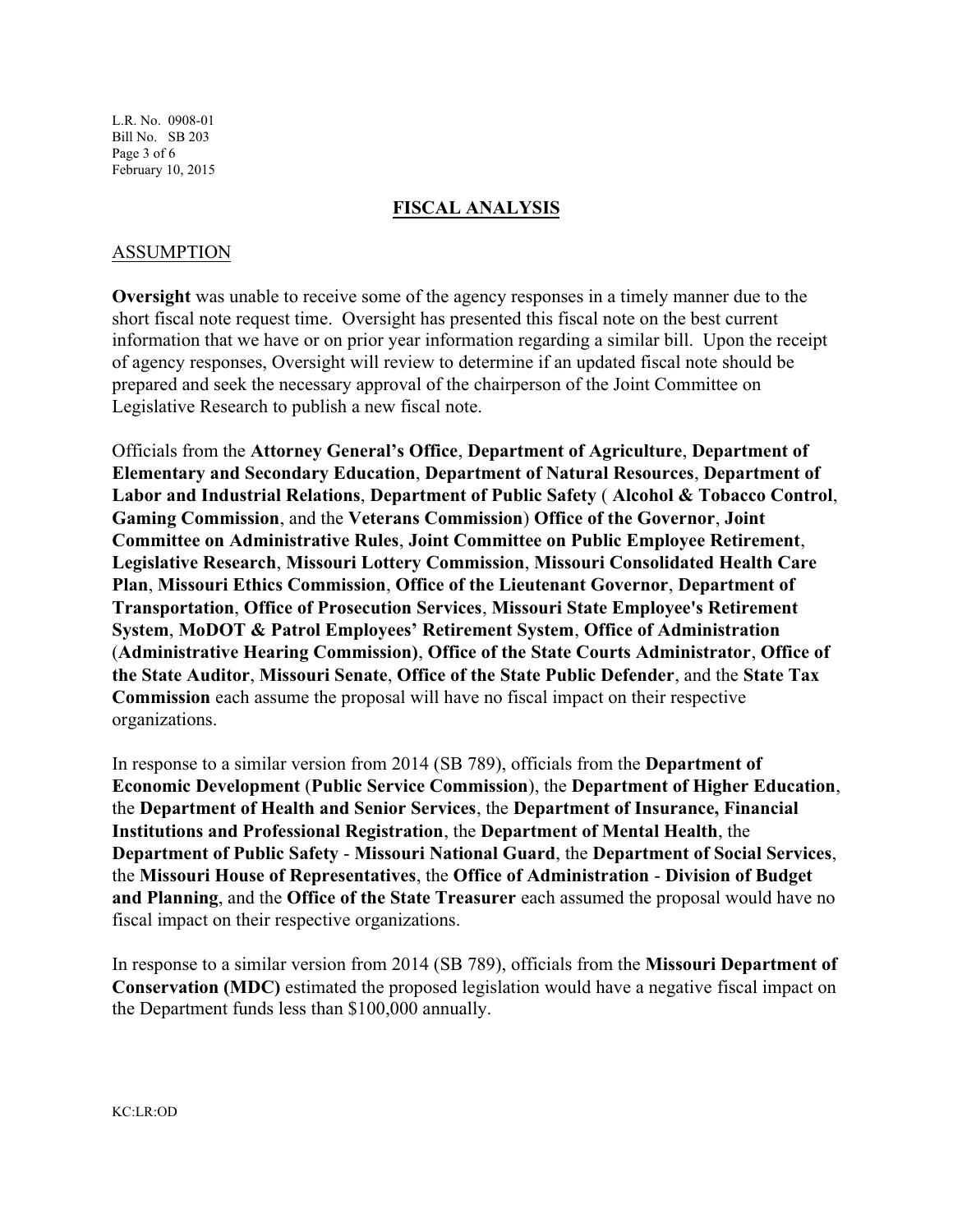L.R. No. 0908-01 Bill No. SB 203 Page 3 of 6 February 10, 2015

#### **FISCAL ANALYSIS**

#### ASSUMPTION

**Oversight** was unable to receive some of the agency responses in a timely manner due to the short fiscal note request time. Oversight has presented this fiscal note on the best current information that we have or on prior year information regarding a similar bill. Upon the receipt of agency responses, Oversight will review to determine if an updated fiscal note should be prepared and seek the necessary approval of the chairperson of the Joint Committee on Legislative Research to publish a new fiscal note.

Officials from the **Attorney General's Office**, **Department of Agriculture**, **Department of Elementary and Secondary Education**, **Department of Natural Resources**, **Department of Labor and Industrial Relations**, **Department of Public Safety** ( **Alcohol & Tobacco Control**, **Gaming Commission**, and the **Veterans Commission**) **Office of the Governor**, **Joint Committee on Administrative Rules**, **Joint Committee on Public Employee Retirement**, **Legislative Research**, **Missouri Lottery Commission**, **Missouri Consolidated Health Care Plan**, **Missouri Ethics Commission**, **Office of the Lieutenant Governor**, **Department of Transportation**, **Office of Prosecution Services**, **Missouri State Employee's Retirement System**, **MoDOT & Patrol Employees' Retirement System**, **Office of Administration** (**Administrative Hearing Commission)**, **Office of the State Courts Administrator**, **Office of the State Auditor**, **Missouri Senate**, **Office of the State Public Defender**, and the **State Tax Commission** each assume the proposal will have no fiscal impact on their respective organizations.

In response to a similar version from 2014 (SB 789), officials from the **Department of Economic Development** (**Public Service Commission**), the **Department of Higher Education**, the **Department of Health and Senior Services**, the **Department of Insurance, Financial Institutions and Professional Registration**, the **Department of Mental Health**, the **Department of Public Safety** - **Missouri National Guard**, the **Department of Social Services**, the **Missouri House of Representatives**, the **Office of Administration** - **Division of Budget and Planning**, and the **Office of the State Treasurer** each assumed the proposal would have no fiscal impact on their respective organizations.

In response to a similar version from 2014 (SB 789), officials from the **Missouri Department of Conservation (MDC)** estimated the proposed legislation would have a negative fiscal impact on the Department funds less than \$100,000 annually.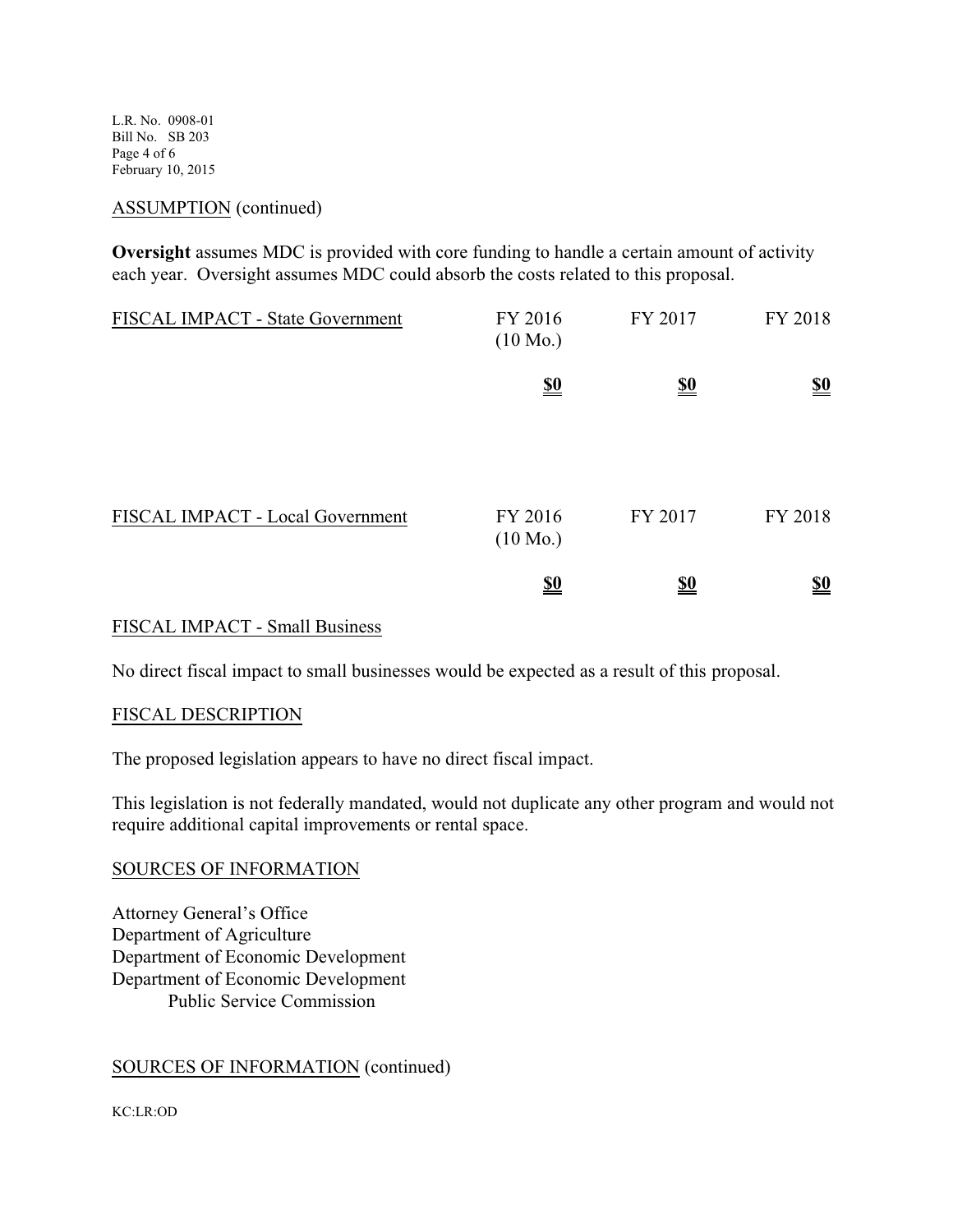L.R. No. 0908-01 Bill No. SB 203 Page 4 of 6 February 10, 2015

#### ASSUMPTION (continued)

**Oversight** assumes MDC is provided with core funding to handle a certain amount of activity each year. Oversight assumes MDC could absorb the costs related to this proposal.

| FISCAL IMPACT - State Government | FY 2016<br>$(10 \text{ Mo.})$ | FY 2017                       | FY 2018                       |
|----------------------------------|-------------------------------|-------------------------------|-------------------------------|
|                                  | $\underline{\underline{\$0}}$ | $\underline{\underline{\$0}}$ | $\underline{\underline{\$0}}$ |
|                                  |                               |                               |                               |
| FISCAL IMPACT - Local Government | FY 2016<br>$(10 \text{ Mo.})$ | FY 2017                       | FY 2018                       |
|                                  | <u>\$0</u>                    | <u>\$0</u>                    | $\underline{\underline{\$0}}$ |

### FISCAL IMPACT - Small Business

No direct fiscal impact to small businesses would be expected as a result of this proposal.

#### FISCAL DESCRIPTION

The proposed legislation appears to have no direct fiscal impact.

This legislation is not federally mandated, would not duplicate any other program and would not require additional capital improvements or rental space.

#### SOURCES OF INFORMATION

Attorney General's Office Department of Agriculture Department of Economic Development Department of Economic Development Public Service Commission

#### SOURCES OF INFORMATION (continued)

KC:LR:OD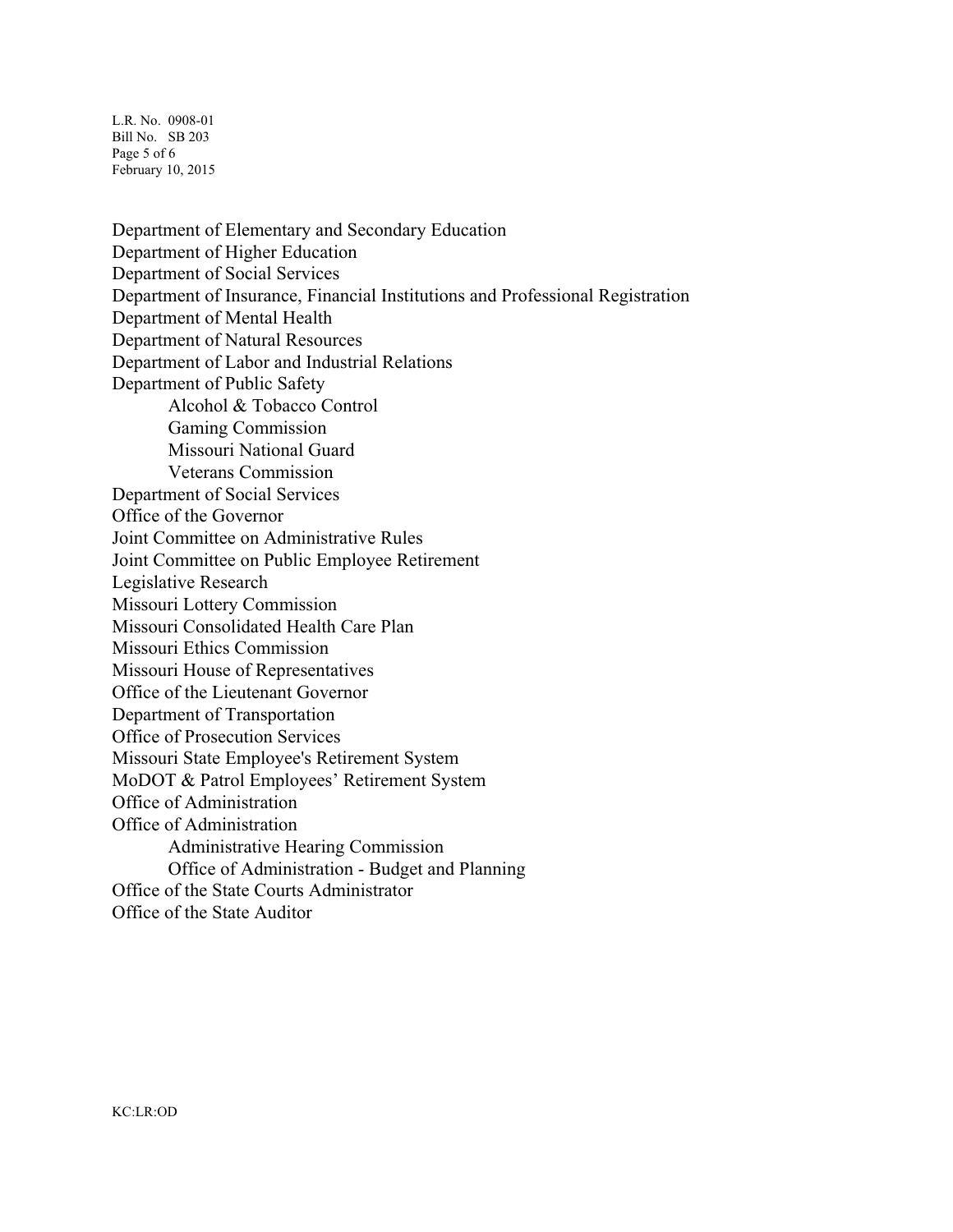L.R. No. 0908-01 Bill No. SB 203 Page 5 of 6 February 10, 2015

Department of Elementary and Secondary Education Department of Higher Education Department of Social Services Department of Insurance, Financial Institutions and Professional Registration Department of Mental Health Department of Natural Resources Department of Labor and Industrial Relations Department of Public Safety Alcohol & Tobacco Control Gaming Commission Missouri National Guard Veterans Commission Department of Social Services Office of the Governor Joint Committee on Administrative Rules Joint Committee on Public Employee Retirement Legislative Research Missouri Lottery Commission Missouri Consolidated Health Care Plan Missouri Ethics Commission Missouri House of Representatives Office of the Lieutenant Governor Department of Transportation Office of Prosecution Services Missouri State Employee's Retirement System MoDOT & Patrol Employees' Retirement System Office of Administration Office of Administration Administrative Hearing Commission Office of Administration - Budget and Planning Office of the State Courts Administrator Office of the State Auditor